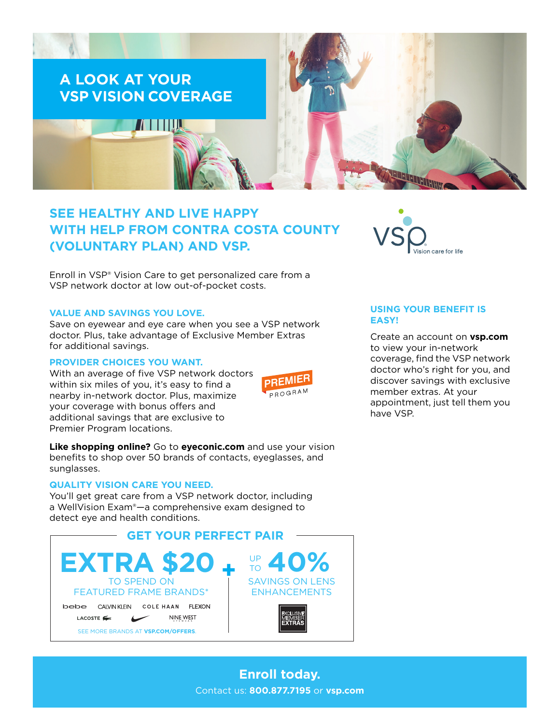

# **SEE HEALTHY AND LIVE HAPPY WITH HELP FROM CONTRA COSTA COUNTY (VOLUNTARY PLAN) AND VSP.**

Enroll in VSP® Vision Care to get personalized care from a VSP network doctor at low out-of-pocket costs.

#### **VALUE AND SAVINGS YOU LOVE.**

Save on eyewear and eye care when you see a VSP network doctor. Plus, take advantage of Exclusive Member Extras for additional savings.

#### **PROVIDER CHOICES YOU WANT.**

With an average of five VSP network doctors within six miles of you, it's easy to find a nearby in-network doctor. Plus, maximize your coverage with bonus offers and additional savings that are exclusive to Premier Program locations.



**Like shopping online?** Go to **[eyeconic.com](https://www.eyeconic.com)** and use your vision benefits to shop over 50 brands of contacts, eyeglasses, and sunglasses.

## **QUALITY VISION CARE YOU NEED.**

You'll get great care from a VSP network doctor, including a WellVision Exam®—a comprehensive exam designed to detect eye and health conditions.





## **USING YOUR BENEFIT IS EASY!**

Create an account on **[vsp.com](http://www.vsp.com)** to view your in-network coverage, find the VSP network doctor who's right for you, and discover savings with exclusive member extras. At your appointment, just tell them you have VSP.

# **Enroll today.** Contact us: **800.877.7195** or **[vsp.com](http://www.vsp.com)**